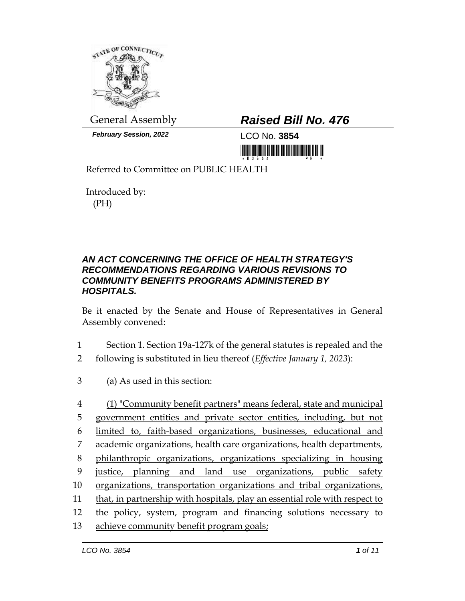

**February Session, 2022** LCO No. **3854** 

## General Assembly *Raised Bill No. 476*

<u> III maa ka maalinta maalinta maalinta maalinta maalinta maa</u>

Referred to Committee on PUBLIC HEALTH

Introduced by: (PH)

## *AN ACT CONCERNING THE OFFICE OF HEALTH STRATEGY'S RECOMMENDATIONS REGARDING VARIOUS REVISIONS TO COMMUNITY BENEFITS PROGRAMS ADMINISTERED BY HOSPITALS.*

Be it enacted by the Senate and House of Representatives in General Assembly convened:

- 1 Section 1. Section 19a-127k of the general statutes is repealed and the
- 2 following is substituted in lieu thereof (*Effective January 1, 2023*):
- 3 (a) As used in this section:
- 4 (1) "Community benefit partners" means federal, state and municipal 5 government entities and private sector entities, including, but not 6 limited to, faith-based organizations, businesses, educational and 7 academic organizations, health care organizations, health departments, 8 philanthropic organizations, organizations specializing in housing 9 justice, planning and land use organizations, public safety 10 organizations, transportation organizations and tribal organizations, 11 that, in partnership with hospitals, play an essential role with respect to 12 the policy, system, program and financing solutions necessary to 13 achieve community benefit program goals;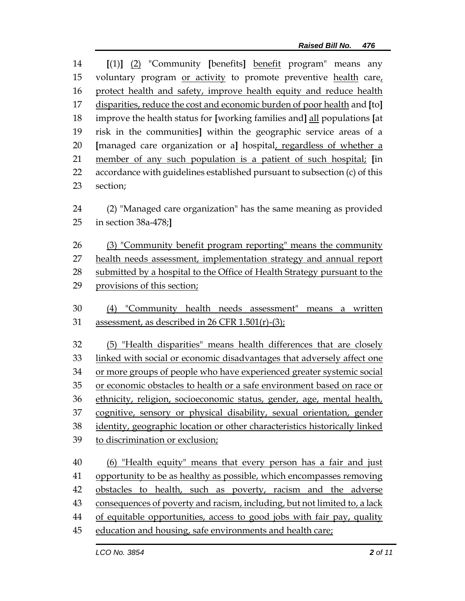**[**(1)**]** (2) "Community **[**benefits**]** benefit program" means any voluntary program or activity to promote preventive health care, protect health and safety, improve health equity and reduce health disparities, reduce the cost and economic burden of poor health and **[**to**]** improve the health status for **[**working families and**]** all populations **[**at risk in the communities**]** within the geographic service areas of a **[**managed care organization or a**]** hospital, regardless of whether a member of any such population is a patient of such hospital; **[**in accordance with guidelines established pursuant to subsection (c) of this section;

 (2) "Managed care organization" has the same meaning as provided in section 38a-478;**]**

 (3) "Community benefit program reporting" means the community health needs assessment, implementation strategy and annual report 28 submitted by a hospital to the Office of Health Strategy pursuant to the provisions of this section;

 (4) "Community health needs assessment" means a written assessment, as described in 26 CFR 1.501(r)-(3);

 (5) "Health disparities" means health differences that are closely linked with social or economic disadvantages that adversely affect one or more groups of people who have experienced greater systemic social or economic obstacles to health or a safe environment based on race or ethnicity, religion, socioeconomic status, gender, age, mental health, cognitive, sensory or physical disability, sexual orientation, gender identity, geographic location or other characteristics historically linked to discrimination or exclusion;

 (6) "Health equity" means that every person has a fair and just opportunity to be as healthy as possible, which encompasses removing obstacles to health, such as poverty, racism and the adverse consequences of poverty and racism, including, but not limited to, a lack of equitable opportunities, access to good jobs with fair pay, quality education and housing, safe environments and health care;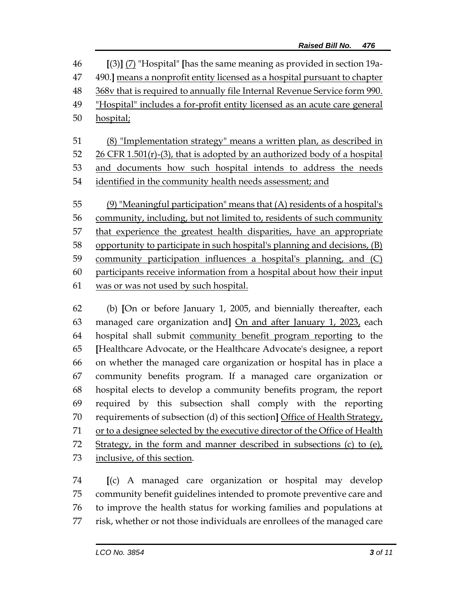**[**(3)**]** (7) "Hospital" **[**has the same meaning as provided in section 19a- 490.**]** means a nonprofit entity licensed as a hospital pursuant to chapter 368v that is required to annually file Internal Revenue Service form 990. "Hospital" includes a for-profit entity licensed as an acute care general hospital; (8) "Implementation strategy" means a written plan, as described in CFR 1.501(r)-(3), that is adopted by an authorized body of a hospital 53 and documents how such hospital intends to address the needs identified in the community health needs assessment; and (9) "Meaningful participation" means that (A) residents of a hospital's community, including, but not limited to, residents of such community that experience the greatest health disparities, have an appropriate opportunity to participate in such hospital's planning and decisions, (B) community participation influences a hospital's planning, and (C) participants receive information from a hospital about how their input was or was not used by such hospital.

 (b) **[**On or before January 1, 2005, and biennially thereafter, each managed care organization and**]** On and after January 1, 2023, each hospital shall submit community benefit program reporting to the **[**Healthcare Advocate, or the Healthcare Advocate's designee, a report on whether the managed care organization or hospital has in place a community benefits program. If a managed care organization or hospital elects to develop a community benefits program, the report required by this subsection shall comply with the reporting requirements of subsection (d) of this section**]** Office of Health Strategy, or to a designee selected by the executive director of the Office of Health Strategy, in the form and manner described in subsections (c) to (e), inclusive, of this section.

 **[**(c) A managed care organization or hospital may develop community benefit guidelines intended to promote preventive care and to improve the health status for working families and populations at risk, whether or not those individuals are enrollees of the managed care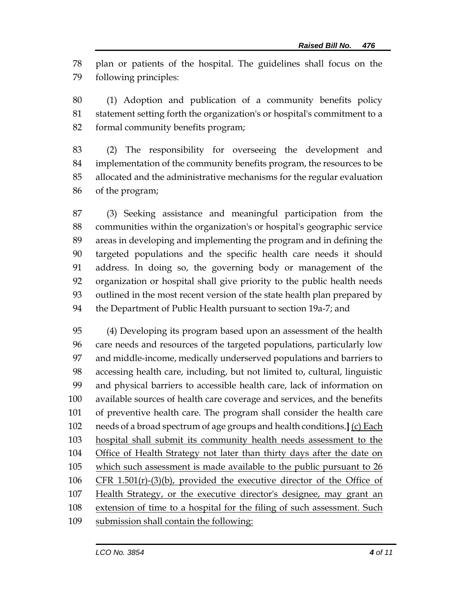plan or patients of the hospital. The guidelines shall focus on the following principles:

 (1) Adoption and publication of a community benefits policy statement setting forth the organization's or hospital's commitment to a formal community benefits program;

 (2) The responsibility for overseeing the development and implementation of the community benefits program, the resources to be allocated and the administrative mechanisms for the regular evaluation of the program;

 (3) Seeking assistance and meaningful participation from the communities within the organization's or hospital's geographic service areas in developing and implementing the program and in defining the targeted populations and the specific health care needs it should address. In doing so, the governing body or management of the organization or hospital shall give priority to the public health needs outlined in the most recent version of the state health plan prepared by the Department of Public Health pursuant to section 19a-7; and

 (4) Developing its program based upon an assessment of the health care needs and resources of the targeted populations, particularly low and middle-income, medically underserved populations and barriers to accessing health care, including, but not limited to, cultural, linguistic and physical barriers to accessible health care, lack of information on available sources of health care coverage and services, and the benefits of preventive health care. The program shall consider the health care needs of a broad spectrum of age groups and health conditions.**]** (c) Each hospital shall submit its community health needs assessment to the Office of Health Strategy not later than thirty days after the date on which such assessment is made available to the public pursuant to 26 CFR 1.501(r)-(3)(b), provided the executive director of the Office of Health Strategy, or the executive director's designee, may grant an extension of time to a hospital for the filing of such assessment. Such 109 submission shall contain the following: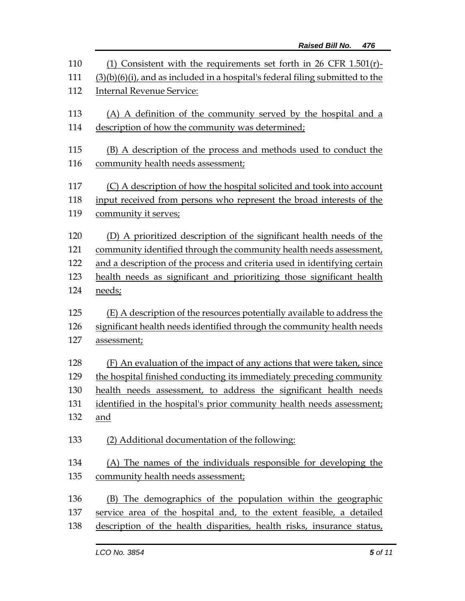| 110 | (1) Consistent with the requirements set forth in $26$ CFR $1.501(r)$ -          |  |  |
|-----|----------------------------------------------------------------------------------|--|--|
| 111 | $(3)(b)(6)(i)$ , and as included in a hospital's federal filing submitted to the |  |  |
| 112 | <b>Internal Revenue Service:</b>                                                 |  |  |
| 113 | (A) A definition of the community served by the hospital and a                   |  |  |
| 114 | description of how the community was determined;                                 |  |  |
| 115 | (B) A description of the process and methods used to conduct the                 |  |  |
| 116 | community health needs assessment;                                               |  |  |
| 117 | (C) A description of how the hospital solicited and took into account            |  |  |
| 118 | input received from persons who represent the broad interests of the             |  |  |
| 119 | community it serves;                                                             |  |  |
| 120 | (D) A prioritized description of the significant health needs of the             |  |  |
| 121 | community identified through the community health needs assessment,              |  |  |
| 122 | and a description of the process and criteria used in identifying certain        |  |  |
| 123 | health needs as significant and prioritizing those significant health            |  |  |
| 124 | needs;                                                                           |  |  |
| 125 | (E) A description of the resources potentially available to address the          |  |  |
| 126 | significant health needs identified through the community health needs           |  |  |
| 127 | assessment;                                                                      |  |  |
| 128 | (F) An evaluation of the impact of any actions that were taken, since            |  |  |
| 129 | the hospital finished conducting its immediately preceding community             |  |  |
| 130 | health needs assessment, to address the significant health needs                 |  |  |
| 131 | identified in the hospital's prior community health needs assessment;            |  |  |
| 132 | and                                                                              |  |  |
| 133 | (2) Additional documentation of the following:                                   |  |  |
| 134 | (A) The names of the individuals responsible for developing the                  |  |  |
| 135 | community health needs assessment;                                               |  |  |
| 136 | (B) The demographics of the population within the geographic                     |  |  |
| 137 | service area of the hospital and, to the extent feasible, a detailed             |  |  |
| 138 | description of the health disparities, health risks, insurance status,           |  |  |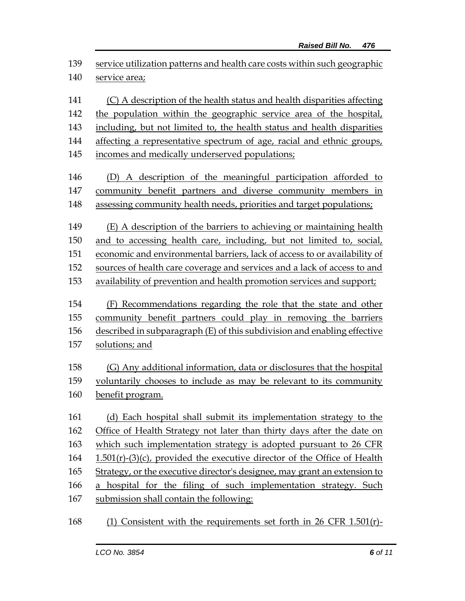| 139 | service utilization patterns and health care costs within such geographic   |  |  |
|-----|-----------------------------------------------------------------------------|--|--|
| 140 | service area;                                                               |  |  |
| 141 | (C) A description of the health status and health disparities affecting     |  |  |
| 142 | the population within the geographic service area of the hospital,          |  |  |
| 143 | including, but not limited to, the health status and health disparities     |  |  |
| 144 | affecting a representative spectrum of age, racial and ethnic groups,       |  |  |
| 145 | incomes and medically underserved populations;                              |  |  |
| 146 | (D) A description of the meaningful participation afforded to               |  |  |
| 147 | community benefit partners and diverse community members in                 |  |  |
| 148 | assessing community health needs, priorities and target populations;        |  |  |
| 149 | (E) A description of the barriers to achieving or maintaining health        |  |  |
| 150 | and to accessing health care, including, but not limited to, social,        |  |  |
| 151 | economic and environmental barriers, lack of access to or availability of   |  |  |
| 152 | sources of health care coverage and services and a lack of access to and    |  |  |
| 153 | availability of prevention and health promotion services and support;       |  |  |
| 154 | (F) Recommendations regarding the role that the state and other             |  |  |
| 155 | community benefit partners could play in removing the barriers              |  |  |
| 156 | described in subparagraph (E) of this subdivision and enabling effective    |  |  |
| 157 | solutions; and                                                              |  |  |
| 158 | (G) Any additional information, data or disclosures that the hospital       |  |  |
| 159 | voluntarily chooses to include as may be relevant to its community          |  |  |
| 160 | benefit program.                                                            |  |  |
| 161 | (d) Each hospital shall submit its implementation strategy to the           |  |  |
| 162 | Office of Health Strategy not later than thirty days after the date on      |  |  |
| 163 | which such implementation strategy is adopted pursuant to 26 CFR            |  |  |
| 164 | $1.501(r)$ -(3)(c), provided the executive director of the Office of Health |  |  |
| 165 | Strategy, or the executive director's designee, may grant an extension to   |  |  |
| 166 | a hospital for the filing of such implementation strategy. Such             |  |  |
| 167 | submission shall contain the following:                                     |  |  |

168 (1) Consistent with the requirements set forth in 26 CFR 1.501(r)-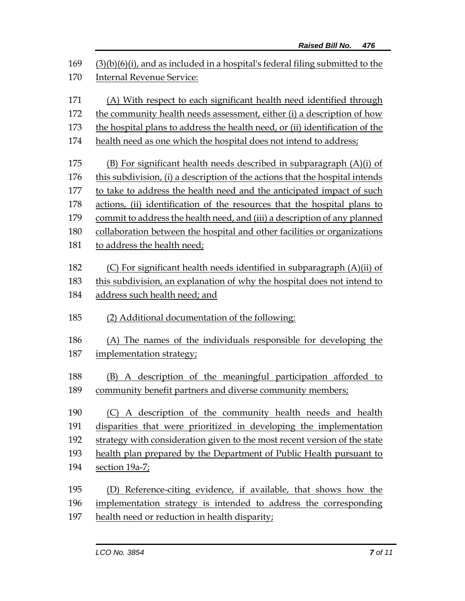| 169<br>170 | $(3)(b)(6)(i)$ , and as included in a hospital's federal filing submitted to the<br><b>Internal Revenue Service:</b> |  |  |  |
|------------|----------------------------------------------------------------------------------------------------------------------|--|--|--|
| 171        | (A) With respect to each significant health need identified through                                                  |  |  |  |
| 172        | the community health needs assessment, either (i) a description of how                                               |  |  |  |
| 173        | the hospital plans to address the health need, or (ii) identification of the                                         |  |  |  |
| 174        | health need as one which the hospital does not intend to address;                                                    |  |  |  |
| 175        | (B) For significant health needs described in subparagraph (A)(i) of                                                 |  |  |  |
| 176        | this subdivision, (i) a description of the actions that the hospital intends                                         |  |  |  |
| 177        | to take to address the health need and the anticipated impact of such                                                |  |  |  |
| 178        | actions, (ii) identification of the resources that the hospital plans to                                             |  |  |  |
| 179        | commit to address the health need, and (iii) a description of any planned                                            |  |  |  |
| 180        | collaboration between the hospital and other facilities or organizations                                             |  |  |  |
| 181        | to address the health need;                                                                                          |  |  |  |
| 182        | (C) For significant health needs identified in subparagraph (A)(ii) of                                               |  |  |  |
| 183        | this subdivision, an explanation of why the hospital does not intend to                                              |  |  |  |
| 184        | address such health need; and                                                                                        |  |  |  |
| 185        | (2) Additional documentation of the following:                                                                       |  |  |  |
| 186        | (A) The names of the individuals responsible for developing the                                                      |  |  |  |
| 187        | implementation strategy;                                                                                             |  |  |  |
| 188        | (B) A description of the meaningful participation afforded to                                                        |  |  |  |
| 189        | community benefit partners and diverse community members;                                                            |  |  |  |
|            |                                                                                                                      |  |  |  |
| 190        | (C) A description of the community health needs and health                                                           |  |  |  |
| 191        | disparities that were prioritized in developing the implementation                                                   |  |  |  |
| 192        | strategy with consideration given to the most recent version of the state                                            |  |  |  |
| 193        | health plan prepared by the Department of Public Health pursuant to                                                  |  |  |  |
| 194        | section 19a-7;                                                                                                       |  |  |  |
| 195        | (D) Reference-citing evidence, if available, that shows how the                                                      |  |  |  |
| 196        | implementation strategy is intended to address the corresponding                                                     |  |  |  |
| 197        | health need or reduction in health disparity;                                                                        |  |  |  |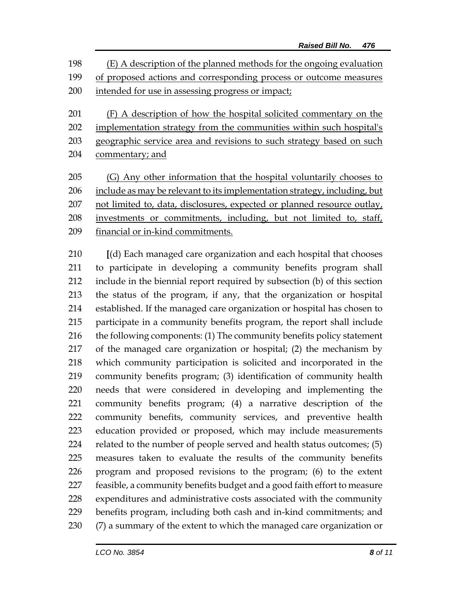(E) A description of the planned methods for the ongoing evaluation of proposed actions and corresponding process or outcome measures intended for use in assessing progress or impact;

 (F) A description of how the hospital solicited commentary on the implementation strategy from the communities within such hospital's geographic service area and revisions to such strategy based on such commentary; and

205 (G) Any other information that the hospital voluntarily chooses to 206 include as may be relevant to its implementation strategy, including, but not limited to, data, disclosures, expected or planned resource outlay, investments or commitments, including, but not limited to, staff, financial or in-kind commitments.

 **[**(d) Each managed care organization and each hospital that chooses to participate in developing a community benefits program shall include in the biennial report required by subsection (b) of this section the status of the program, if any, that the organization or hospital established. If the managed care organization or hospital has chosen to participate in a community benefits program, the report shall include 216 the following components: (1) The community benefits policy statement of the managed care organization or hospital; (2) the mechanism by which community participation is solicited and incorporated in the community benefits program; (3) identification of community health needs that were considered in developing and implementing the community benefits program; (4) a narrative description of the community benefits, community services, and preventive health education provided or proposed, which may include measurements related to the number of people served and health status outcomes; (5) measures taken to evaluate the results of the community benefits program and proposed revisions to the program; (6) to the extent feasible, a community benefits budget and a good faith effort to measure expenditures and administrative costs associated with the community benefits program, including both cash and in-kind commitments; and (7) a summary of the extent to which the managed care organization or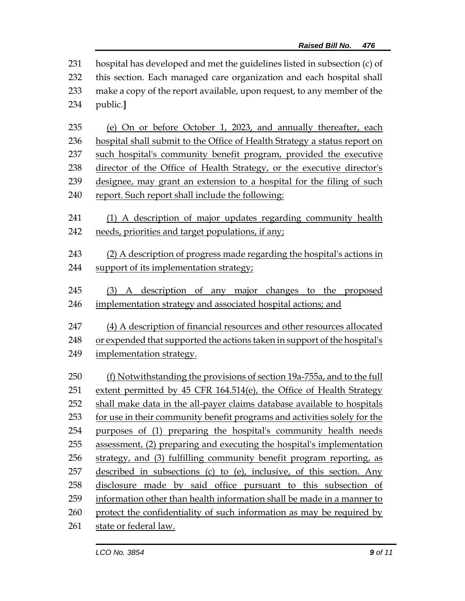hospital has developed and met the guidelines listed in subsection (c) of this section. Each managed care organization and each hospital shall make a copy of the report available, upon request, to any member of the public.**]**

 (e) On or before October 1, 2023, and annually thereafter, each hospital shall submit to the Office of Health Strategy a status report on such hospital's community benefit program, provided the executive director of the Office of Health Strategy, or the executive director's designee, may grant an extension to a hospital for the filing of such report. Such report shall include the following:

- (1) A description of major updates regarding community health needs, priorities and target populations, if any;
- (2) A description of progress made regarding the hospital's actions in support of its implementation strategy;
- (3) A description of any major changes to the proposed implementation strategy and associated hospital actions; and
- (4) A description of financial resources and other resources allocated or expended that supported the actions taken in support of the hospital's implementation strategy.
- (f) Notwithstanding the provisions of section 19a-755a, and to the full 251 extent permitted by 45 CFR 164.514(e), the Office of Health Strategy 252 shall make data in the all-payer claims database available to hospitals for use in their community benefit programs and activities solely for the purposes of (1) preparing the hospital's community health needs assessment, (2) preparing and executing the hospital's implementation strategy, and (3) fulfilling community benefit program reporting, as described in subsections (c) to (e), inclusive, of this section. Any disclosure made by said office pursuant to this subsection of information other than health information shall be made in a manner to 260 protect the confidentiality of such information as may be required by state or federal law.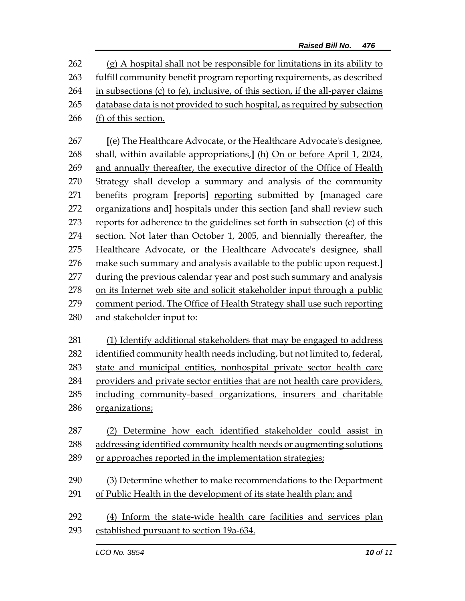(g) A hospital shall not be responsible for limitations in its ability to fulfill community benefit program reporting requirements, as described in subsections (c) to (e), inclusive, of this section, if the all-payer claims database data is not provided to such hospital, as required by subsection

(f) of this section.

 **[**(e) The Healthcare Advocate, or the Healthcare Advocate's designee, shall, within available appropriations,**]** (h) On or before April 1, 2024, and annually thereafter, the executive director of the Office of Health Strategy shall develop a summary and analysis of the community benefits program **[**reports**]** reporting submitted by **[**managed care organizations and**]** hospitals under this section **[**and shall review such reports for adherence to the guidelines set forth in subsection (c) of this section. Not later than October 1, 2005, and biennially thereafter, the Healthcare Advocate, or the Healthcare Advocate's designee, shall make such summary and analysis available to the public upon request.**]** during the previous calendar year and post such summary and analysis on its Internet web site and solicit stakeholder input through a public comment period. The Office of Health Strategy shall use such reporting and stakeholder input to:

 (1) Identify additional stakeholders that may be engaged to address 282 identified community health needs including, but not limited to, federal, state and municipal entities, nonhospital private sector health care providers and private sector entities that are not health care providers, including community-based organizations, insurers and charitable organizations;

- (2) Determine how each identified stakeholder could assist in addressing identified community health needs or augmenting solutions or approaches reported in the implementation strategies;
- (3) Determine whether to make recommendations to the Department of Public Health in the development of its state health plan; and
- (4) Inform the state-wide health care facilities and services plan established pursuant to section 19a-634.